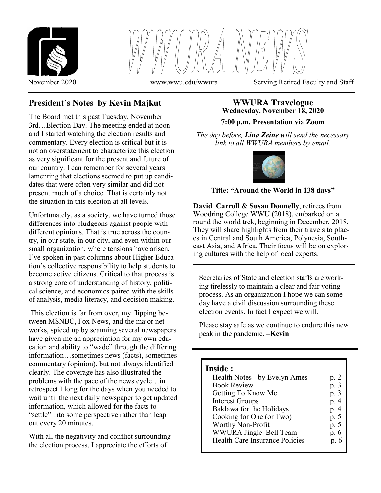



**President's Notes by Kevin Majkut**

The Board met this past Tuesday, November 3rd…Election Day. The meeting ended at noon and I started watching the election results and commentary. Every election is critical but it is not an overstatement to characterize this election as very significant for the present and future of our country. I can remember for several years lamenting that elections seemed to put up candidates that were often very similar and did not present much of a choice. That is certainly not the situation in this election at all levels.

Unfortunately, as a society, we have turned those differences into bludgeons against people with different opinions. That is true across the country, in our state, in our city, and even within our small organization, where tensions have arisen. I've spoken in past columns about Higher Education's collective responsibility to help students to become active citizens. Critical to that process is a strong core of understanding of history, political science, and economics paired with the skills of analysis, media literacy, and decision making.

This election is far from over, my flipping between MSNBC, Fox News, and the major networks, spiced up by scanning several newspapers have given me an appreciation for my own education and ability to "wade" through the differing information…sometimes news (facts), sometimes commentary (opinion), but not always identified clearly. The coverage has also illustrated the problems with the pace of the news cycle…in retrospect I long for the days when you needed to wait until the next daily newspaper to get updated information, which allowed for the facts to "settle" into some perspective rather than leap out every 20 minutes.

With all the negativity and conflict surrounding the election process, I appreciate the efforts of

# **WWURA Travelogue Wednesday, November 18, 2020**

**7:00 p.m. Presentation via Zoom**

*The day before, Lina Zeine will send the necessary link to all WWURA members by email.* 



### **Title: "Around the World in 138 days"**

**David Carroll & Susan Donnelly**, retirees from Woodring College WWU (2018), embarked on a round the world trek, beginning in December, 2018. They will share highlights from their travels to places in Central and South America, Polynesia, Southeast Asia, and Africa. Their focus will be on exploring cultures with the help of local experts.

Secretaries of State and election staffs are working tirelessly to maintain a clear and fair voting process. As an organization I hope we can someday have a civil discussion surrounding these election events. In fact I expect we will.

Please stay safe as we continue to endure this new peak in the pandemic. **–Kevin**

### **Inside :**

 $\overline{a}$ 

| Health Notes - by Evelyn Ames  | p. 2 |
|--------------------------------|------|
| <b>Book Review</b>             | p. 3 |
| Getting To Know Me             | p. 3 |
| <b>Interest Groups</b>         | p. 4 |
| Baklawa for the Holidays       | p. 4 |
| Cooking for One (or Two)       | p. 5 |
| Worthy Non-Profit              | p. 5 |
| WWURA Jingle Bell Team         | p. 6 |
| Health Care Insurance Policies | p. 6 |
|                                |      |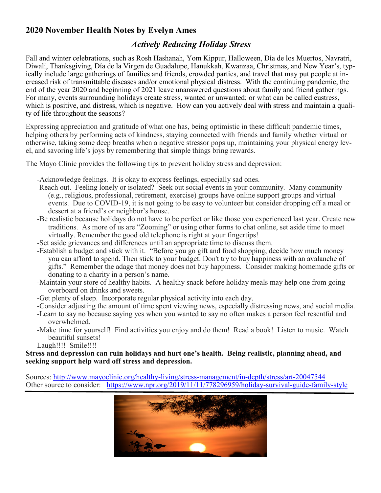## **2020 November Health Notes by Evelyn Ames**

## *Actively Reducing Holiday Stress*

Fall and winter celebrations, such as Rosh Hashanah, Yom Kippur, Halloween, Día de los Muertos, Navratri, Diwali, Thanksgiving, Día de la Virgen de Guadalupe, Hanukkah, Kwanzaa, Christmas, and New Year's, typically include large gatherings of families and friends, crowded parties, and travel that may put people at increased risk of transmittable diseases and/or emotional physical distress. With the continuing pandemic, the end of the year 2020 and beginning of 2021 leave unanswered questions about family and friend gatherings. For many, events surrounding holidays create stress, wanted or unwanted; or what can be called eustress, which is positive, and distress, which is negative. How can you actively deal with stress and maintain a quality of life throughout the seasons?

Expressing appreciation and gratitude of what one has, being optimistic in these difficult pandemic times, helping others by performing acts of kindness, staying connected with friends and family whether virtual or otherwise, taking some deep breaths when a negative stressor pops up, maintaining your physical energy level, and savoring life's joys by remembering that simple things bring rewards.

The Mayo Clinic provides the following tips to prevent holiday stress and depression:

-Acknowledge feelings. It is okay to express feelings, especially sad ones.

- -Reach out. Feeling lonely or isolated? Seek out social events in your community. Many community (e.g., religious, professional, retirement, exercise) groups have online support groups and virtual events. Due to COVID-19, it is not going to be easy to volunteer but consider dropping off a meal or dessert at a friend's or neighbor's house.
- -Be realistic because holidays do not have to be perfect or like those you experienced last year. Create new traditions. As more of us are "Zooming" or using other forms to chat online, set aside time to meet virtually. Remember the good old telephone is right at your fingertips!

-Set aside grievances and differences until an appropriate time to discuss them.

- -Establish a budget and stick with it. "Before you go gift and food shopping, decide how much money you can afford to spend. Then stick to your budget. Don't try to buy happiness with an avalanche of gifts." Remember the adage that money does not buy happiness. Consider making homemade gifts or donating to a charity in a person's name.
- -Maintain your store of healthy habits. A healthy snack before holiday meals may help one from going overboard on drinks and sweets.
- -Get plenty of sleep. Incorporate regular physical activity into each day.
- -Consider adjusting the amount of time spent viewing news, especially distressing news, and social media.
- -Learn to say no because saying yes when you wanted to say no often makes a person feel resentful and overwhelmed.
- -Make time for yourself! Find activities you enjoy and do them! Read a book! Listen to music. Watch beautiful sunsets!

Laugh!!!! Smile!!!!

**Stress and depression can ruin holidays and hurt one's health. Being realistic, planning ahead, and seeking support help ward off stress and depression.**

Sources: [http://www.mayoclinic.org/healthy](http://www.mayoclinic.org/healthy-living/stress-management/in-depth/stress/art-20047544)-living/stress-management/in-depth/stress/art-20047544 Other source to consider: [https://www.npr.org/2019/11/11/778296959/holiday](https://www.npr.org/2019/11/11/778296959/holiday-survival-guide-family-style)-survival-guide-family-style

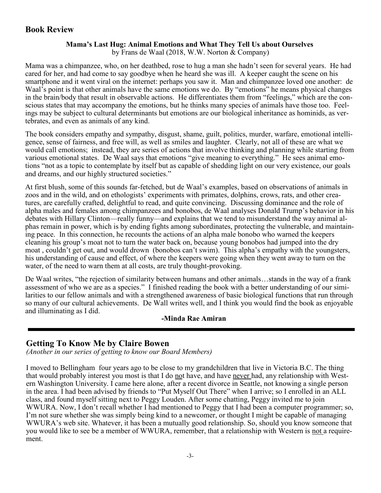### **Book Review**

### **Mama's Last Hug: Animal Emotions and What They Tell Us about Ourselves**

by Frans de Waal (2018, W.W. Norton & Company)

Mama was a chimpanzee, who, on her deathbed, rose to hug a man she hadn't seen for several years. He had cared for her, and had come to say goodbye when he heard she was ill. A keeper caught the scene on his smartphone and it went viral on the internet: perhaps you saw it. Man and chimpanzee loved one another: de Waal's point is that other animals have the same emotions we do. By "emotions" he means physical changes in the brain/body that result in observable actions. He differentiates them from "feelings," which are the conscious states that may accompany the emotions, but he thinks many species of animals have those too. Feelings may be subject to cultural determinants but emotions are our biological inheritance as hominids, as vertebrates, and even as animals of any kind.

The book considers empathy and sympathy, disgust, shame, guilt, politics, murder, warfare, emotional intelligence, sense of fairness, and free will, as well as smiles and laughter. Clearly, not all of these are what we would call emotions; instead, they are series of actions that involve thinking and planning while starting from various emotional states. De Waal says that emotions "give meaning to everything." He sees animal emotions "not as a topic to contemplate by itself but as capable of shedding light on our very existence, our goals and dreams, and our highly structured societies."

At first blush, some of this sounds far-fetched, but de Waal's examples, based on observations of animals in zoos and in the wild, and on ethologists' experiments with primates, dolphins, crows, rats, and other creatures, are carefully crafted, delightful to read, and quite convincing. Discussing dominance and the role of alpha males and females among chimpanzees and bonobos, de Waal analyses Donald Trump's behavior in his debates with Hillary Clinton—really funny—and explains that we tend to misunderstand the way animal alphas remain in power, which is by ending fights among subordinates, protecting the vulnerable, and maintaining peace. In this connection, he recounts the actions of an alpha male bonobo who warned the keepers cleaning his group's moat not to turn the water back on, because young bonobos had jumped into the dry moat , couldn't get out, and would drown (bonobos can't swim). This alpha's empathy with the youngsters, his understanding of cause and effect, of where the keepers were going when they went away to turn on the water, of the need to warn them at all costs, are truly thought-provoking.

De Waal writes, "the rejection of similarity between humans and other animals…stands in the way of a frank assessment of who we are as a species." I finished reading the book with a better understanding of our similarities to our fellow animals and with a strengthened awareness of basic biological functions that run through so many of our cultural achievements. De Wall writes well, and I think you would find the book as enjoyable and illuminating as I did.

### **-Minda Rae Amiran**

## **Getting To Know Me by Claire Bowen**

*(Another in our series of getting to know our Board Members)*

I moved to Bellingham four years ago to be close to my grandchildren that live in Victoria B.C. The thing that would probably interest you most is that I do not have, and have never had, any relationship with Western Washington University. I came here alone, after a recent divorce in Seattle, not knowing a single person in the area. I had been advised by friends to "Put Myself Out There" when I arrive; so I enrolled in an ALL class, and found myself sitting next to Peggy Louden. After some chatting, Peggy invited me to join WWURA. Now, I don't recall whether I had mentioned to Peggy that I had been a computer programmer; so, I'm not sure whether she was simply being kind to a newcomer, or thought I might be capable of managing WWURA's web site. Whatever, it has been a mutually good relationship. So, should you know someone that you would like to see be a member of WWURA, remember, that a relationship with Western is not a requirement.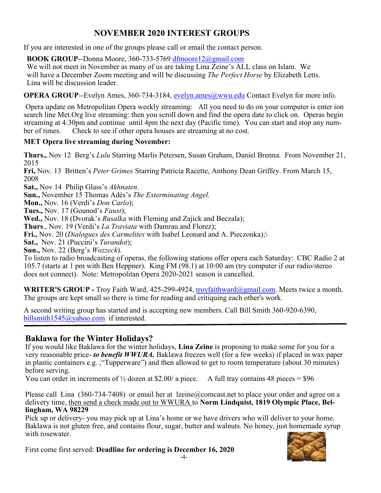## **NOVEMBER 2020 INTEREST GROUPS**

If you are interested in one of the groups please call or email the contact person.

**BOOK GROUP**--Donna Moore, 360-733-5769 [dfmoore](mailto:dfmoore12@gmail.com)[12@gmail.com](mailto:e12@gmail.com)

We will not meet in November as many of us are taking Lina Zeine's ALL class on Islam. We will have a December Zoom meeting and will be discussing *The Perfect Horse* by Elizabeth Letts. Lina will be discussion leader.

**OPERA GROUP--Evelyn Ames, 360-734-3184, [evelyn.ames@wwu.edu](mailto:evelyn.ames@wwu.edu) Contact Evelyn for more info.** 

Opera update on Metropolitan Opera weekly streaming: All you need to do on your computer is enter ion search line Met.Org live streaming: then you scroll down and find the opera date to click on. Operas begin streaming at 4:30pm and continue until 4pm the next day (Pacific time). You can start and stop any number of times. Check to see if other opera houses are streaming at no cost.

### **MET Opera live streaming during November:**

**Thurs.,** Nov 12 Berg's *Lulu* [Starring Marlis Petersen, Susan Graham, Daniel Brenna. From November 21,](https://www.metopera.org/link/8601ccf66b394032b83d5776cab34177.aspx?upc=811357018101)  [2015](https://www.metopera.org/link/8601ccf66b394032b83d5776cab34177.aspx?upc=811357018101)

**Fri,** Nov. 13 Britten's *Peter Grimes* [Starring Patricia Racette, Anthony Dean Griffey. From March 15,](https://www.metopera.org/link/8601ccf66b394032b83d5776cab34177.aspx?upc=811357011713)  [2008](https://www.metopera.org/link/8601ccf66b394032b83d5776cab34177.aspx?upc=811357011713)

**Sat.,** Nov 14 Philip Glass's *Akhnaten*.

**Sun.,** November 15 Thomas Adès's *The Exterminating Angel.* 

**Mon.,** Nov. 16 (Verdi's *Don Carlo*);

**Tues.,** Nov. 17 (Gounod's *Faust*);

**Wed.,** Nov. 18 (Dvorak's *Rusalka* with Fleming and Zajick and Beczala);

**Thurs**., Nov. 19 (Verdi's *La Traviata* with Damrau and Florez);

**Fri.,** Nov. 20 (*Dialogues des Carmelites* with Isabel Leonard and A. Pieczonka);\

**Sat.,** Nov. 21 (Puccini's *Turandot*);

**Sun.,** Nov. 22 (Berg's *Wozzeck*).

To listen to radio broadcasting of operas, the following stations offer opera each Saturday: CBC Radio 2 at 105.7 (starts at 1 pm with Ben Heppner). King FM (98.1) at 10:00 am (try computer if our radio/stereo does not connect). Note: Metropolitan Opera 2020-2021 season is cancelled.

**WRITER'S GROUP -** Troy Faith Ward, 425-299-4924, [troyfaithward@gmail.com. M](mailto:troyfaithward@gmail.com)eets twice a month. The groups are kept small so there is time for reading and critiquing each other's work.

A second writing group has started and is accepting new members. Call Bill Smith 360-920-6390, [billsmith1545@yahoo.com](mailto:billsmith1545@yahoo.com) if interested.

## **Baklawa for the Winter Holidays?**

If you would like Baklawa for the winter holidays, **Lina Zeine** is proposing to make some for you for a very reasonable price- *to benefit WWURA.* Baklawa freezes well (for a few weeks) if placed in wax paper in plastic containers e.g. ,"Tupperware") and then allowed to get to room temperature (about 30 minutes) before serving.

You can order in increments of  $\frac{1}{2}$  dozen at \$2.00/ a piece. A full tray contains 48 pieces = \$96

Please call Lina (360-734-7408) or email her at lzeine@comcast.net to place your order and agree on a delivery time, then send a check made out to WWURA to **Norm Lindquist, 1819 Olympic Place, Bellingham, WA 98229**

Pick up or delivery- you may pick up at Lina's home or we have drivers who will deliver to your home. Baklawa is not gluten free, and contains flour, sugar, butter and walnuts. No honey, just homemade syrup with rosewater.

First come first served: **Deadline for ordering is December 16, 2020** -4-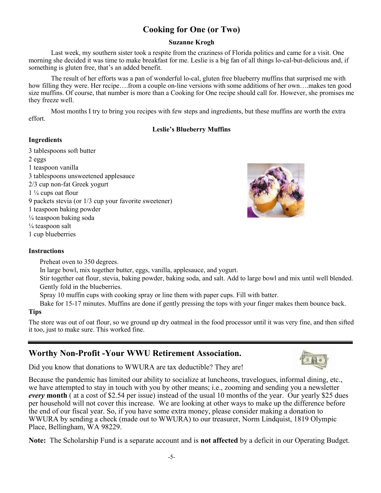## **Cooking for One (or Two)**

#### **Suzanne Krogh**

Last week, my southern sister took a respite from the craziness of Florida politics and came for a visit. One morning she decided it was time to make breakfast for me. Leslie is a big fan of all things lo-cal-but-delicious and, if something is gluten free, that's an added benefit.

The result of her efforts was a pan of wonderful lo-cal, gluten free blueberry muffins that surprised me with how filling they were. Her recipe….from a couple on-line versions with some additions of her own….makes ten good size muffins. Of course, that number is more than a Cooking for One recipe should call for. However, she promises me they freeze well.

Most months I try to bring you recipes with few steps and ingredients, but these muffins are worth the extra effort.

#### **Leslie's Blueberry Muffins**

#### **Ingredients**

3 tablespoons soft butter 2 eggs 1 teaspoon vanilla 3 tablespoons unsweetened applesauce 2/3 cup non-fat Greek yogurt 1 ¼ cups oat flour 9 packets stevia (or 1/3 cup your favorite sweetener) 1 teaspoon baking powder  $\frac{1}{4}$  teaspoon baking soda  $\frac{1}{4}$  teaspoon salt 1 cup blueberries



#### **Instructions**

Preheat oven to 350 degrees.

In large bowl, mix together butter, eggs, vanilla, applesauce, and yogurt.

Stir together oat flour, stevia, baking powder, baking soda, and salt. Add to large bowl and mix until well blended. Gently fold in the blueberries.

Spray 10 muffin cups with cooking spray or line them with paper cups. Fill with batter.

Bake for 15-17 minutes. Muffins are done if gently pressing the tops with your finger makes them bounce back.

### **Tips**

The store was out of oat flour, so we ground up dry oatmeal in the food processor until it was very fine, and then sifted it too, just to make sure. This worked fine.

## **Worthy Non-Profit -Your WWU Retirement Association.**

Did you know that donations to WWURA are tax deductible? They are!

Because the pandemic has limited our ability to socialize at luncheons, travelogues, informal dining, etc., we have attempted to stay in touch with you by other means; i.e., zooming and sending you a newsletter *every* **month** ( at a cost of \$2.54 per issue) instead of the usual 10 months of the year. Our yearly \$25 dues per household will not cover this increase. We are looking at other ways to make up the difference before the end of our fiscal year. So, if you have some extra money, please consider making a donation to WWURA by sending a check (made out to WWURA) to our treasurer, Norm Lindquist, 1819 Olympic Place, Bellingham, WA 98229.

**Note:** The Scholarship Fund is a separate account and is **not affected** by a deficit in our Operating Budget.

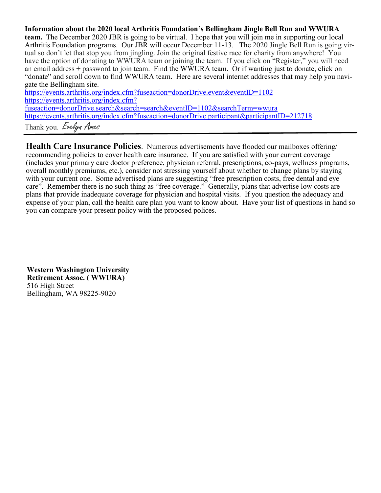**Information about the 2020 local Arthritis Foundation's Bellingham Jingle Bell Run and WWURA team.** The December 2020 JBR is going to be virtual. I hope that you will join me in supporting our local Arthritis Foundation programs. Our JBR will occur December 11-13. The 2020 Jingle Bell Run is going virtual so don't let that stop you from jingling. Join the original festive race for charity from anywhere! You have the option of donating to WWURA team or joining the team. If you click on "Register," you will need an email address + password to join team. Find the WWURA team. Or if wanting just to donate, click on "donate" and scroll down to find WWURA team. Here are several internet addresses that may help you navigate the Bellingham site.

https://events.arthritis.org/index.cfm?fuseaction=donorDrive.event&eventID=1102 [https://events.arthritis.org/index.cfm?](https://events.arthritis.org/index.cfm?fuseaction=donorDrive.search&search=search&eventID=1102&searchTerm=wwura) [fuseaction=donorDrive.search&search=search&eventID=1102&searchTerm=wwura](https://events.arthritis.org/index.cfm?fuseaction=donorDrive.search&search=search&eventID=1102&searchTerm=wwura) <https://events.arthritis.org/index.cfm?fuseaction=donorDrive.participant&participantID=212718> Thank you. Evelyn Ames

**Health Care Insurance Policies**. Numerous advertisements have flooded our mailboxes offering/ recommending policies to cover health care insurance. If you are satisfied with your current coverage (includes your primary care doctor preference, physician referral, prescriptions, co-pays, wellness programs, overall monthly premiums, etc.), consider not stressing yourself about whether to change plans by staying with your current one. Some advertised plans are suggesting "free prescription costs, free dental and eye" care". Remember there is no such thing as "free coverage." Generally, plans that advertise low costs are plans that provide inadequate coverage for physician and hospital visits. If you question the adequacy and expense of your plan, call the health care plan you want to know about. Have your list of questions in hand so you can compare your present policy with the proposed polices.

**Western Washington University Retirement Assoc. ( WWURA)** 516 High Street Bellingham, WA 98225-9020